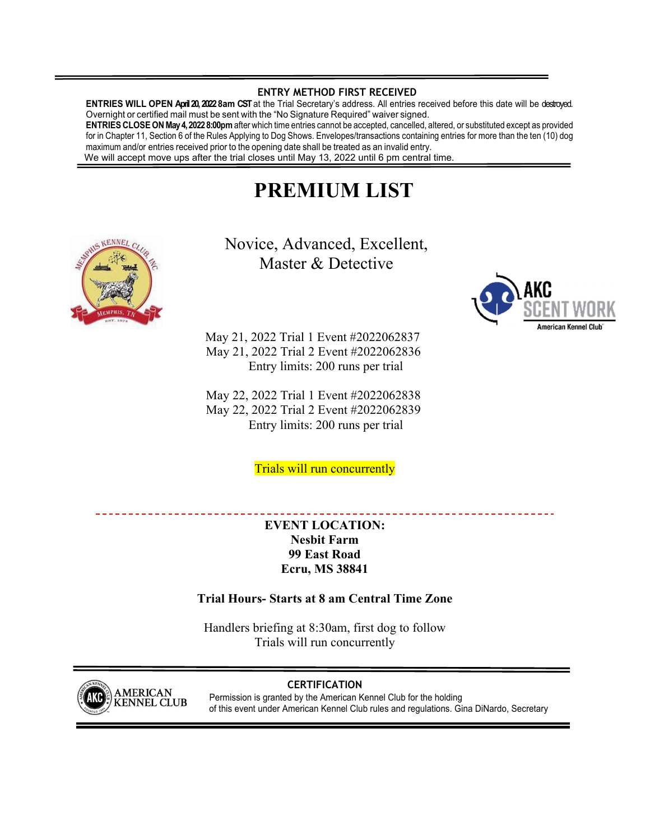## **ENTRY METHOD FIRST RECEIVED**

**ENTRIES WILL OPEN April 20, 2022 8am CST** at the Trial Secretary's address. All entries received before this date will be destroyed. Overnight or certified mail must be sent with the "No Signature Required" waiver signed.

**ENTRIES CLOSE ON May 4, 2022 8:00pm** after which time entries cannot be accepted, cancelled, altered, or substituted except as provided for in Chapter 11, Section 6 of the Rules Applying to Dog Shows. Envelopes/transactions containing entries for more than the ten (10) dog maximum and/or entries received prior to the opening date shall be treated as an invalid entry. We will accept move ups after the trial closes until May 13, 2022 until 6 pm central time.

# **PREMIUM LIST**



Novice, Advanced, Excellent, Master & Detective

May 21, 2022 Trial 1 Event #2022062837 May 21, 2022 Trial 2 Event #2022062836 Entry limits: 200 runs per trial

May 22, 2022 Trial 1 Event #2022062838 May 22, 2022 Trial 2 Event #2022062839 Entry limits: 200 runs per trial

Trials will run concurrently

**EVENT LOCATION: Nesbit Farm 99 East Road Ecru, MS 38841** 

# **Trial Hours- Starts at 8 am Central Time Zone**

Handlers briefing at 8:30am, first dog to follow Trials will run concurrently



**CERTIFICATION**  Permission is granted by the American Kennel Club for the holding of this event under American Kennel Club rules and regulations. Gina DiNardo, Secretary

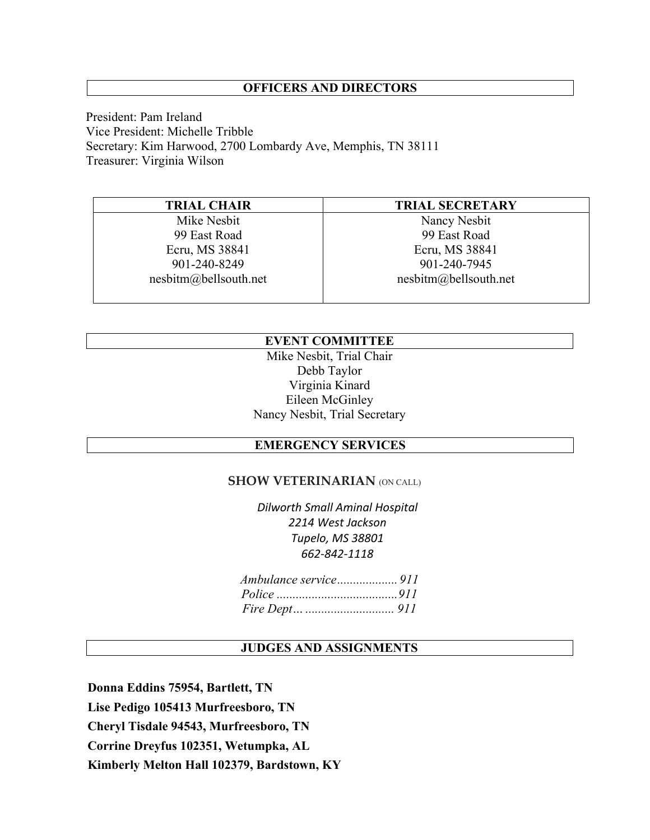## **OFFICERS AND DIRECTORS**

President: Pam Ireland Vice President: Michelle Tribble Secretary: Kim Harwood, 2700 Lombardy Ave, Memphis, TN 38111 Treasurer: Virginia Wilson

| <b>TRIAL CHAIR</b>              | <b>TRIAL SECRETARY</b> |
|---------------------------------|------------------------|
| Mike Nesbit                     | Nancy Nesbit           |
| 99 East Road                    | 99 East Road           |
| Ecru, MS 38841                  | Ecru, MS 38841         |
| 901-240-8249                    | 901-240-7945           |
| $nesbitm(\omega)$ bellsouth.net | nesbitm@bellsouth.net  |
|                                 |                        |

# **EVENT COMMITTEE**

Mike Nesbit, Trial Chair Debb Taylor Virginia Kinard Eileen McGinley Nancy Nesbit, Trial Secretary

# **EMERGENCY SERVICES**

## **SHOW VETERINARIAN** (ON CALL)

*Dilworth Small Aminal Hospital 2214 West Jackson Tupelo, MS 38801 662‐842‐1118*

## **JUDGES AND ASSIGNMENTS**

**Donna Eddins 75954, Bartlett, TN Lise Pedigo 105413 Murfreesboro, TN Cheryl Tisdale 94543, Murfreesboro, TN Corrine Dreyfus 102351, Wetumpka, AL Kimberly Melton Hall 102379, Bardstown, KY**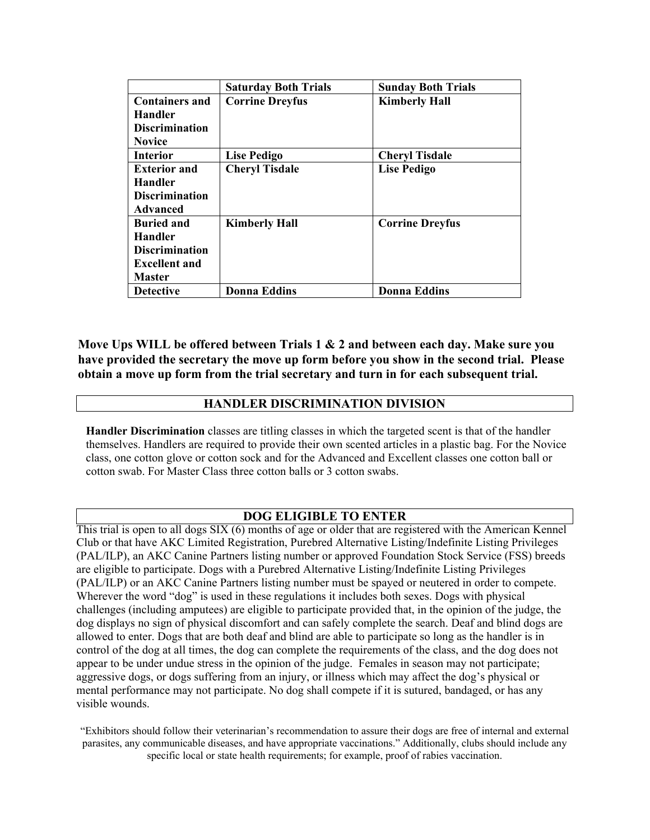|                       | <b>Saturday Both Trials</b> | <b>Sunday Both Trials</b> |
|-----------------------|-----------------------------|---------------------------|
| <b>Containers and</b> | <b>Corrine Dreyfus</b>      | <b>Kimberly Hall</b>      |
| <b>Handler</b>        |                             |                           |
| <b>Discrimination</b> |                             |                           |
| <b>Novice</b>         |                             |                           |
| <b>Interior</b>       | <b>Lise Pedigo</b>          | <b>Cheryl Tisdale</b>     |
| <b>Exterior and</b>   | <b>Cheryl Tisdale</b>       | <b>Lise Pedigo</b>        |
| <b>Handler</b>        |                             |                           |
| <b>Discrimination</b> |                             |                           |
| Advanced              |                             |                           |
| <b>Buried and</b>     | <b>Kimberly Hall</b>        | <b>Corrine Dreyfus</b>    |
| <b>Handler</b>        |                             |                           |
| <b>Discrimination</b> |                             |                           |
| <b>Excellent and</b>  |                             |                           |
| <b>Master</b>         |                             |                           |
| <b>Detective</b>      | <b>Donna Eddins</b>         | <b>Donna Eddins</b>       |

**Move Ups WILL be offered between Trials 1 & 2 and between each day. Make sure you have provided the secretary the move up form before you show in the second trial. Please obtain a move up form from the trial secretary and turn in for each subsequent trial.** 

## **HANDLER DISCRIMINATION DIVISION**

**Handler Discrimination** classes are titling classes in which the targeted scent is that of the handler themselves. Handlers are required to provide their own scented articles in a plastic bag. For the Novice class, one cotton glove or cotton sock and for the Advanced and Excellent classes one cotton ball or cotton swab. For Master Class three cotton balls or 3 cotton swabs.

## **DOG ELIGIBLE TO ENTER**

This trial is open to all dogs SIX (6) months of age or older that are registered with the American Kennel Club or that have AKC Limited Registration, Purebred Alternative Listing/Indefinite Listing Privileges (PAL/ILP), an AKC Canine Partners listing number or approved Foundation Stock Service (FSS) breeds are eligible to participate. Dogs with a Purebred Alternative Listing/Indefinite Listing Privileges (PAL/ILP) or an AKC Canine Partners listing number must be spayed or neutered in order to compete. Wherever the word "dog" is used in these regulations it includes both sexes. Dogs with physical challenges (including amputees) are eligible to participate provided that, in the opinion of the judge, the dog displays no sign of physical discomfort and can safely complete the search. Deaf and blind dogs are allowed to enter. Dogs that are both deaf and blind are able to participate so long as the handler is in control of the dog at all times, the dog can complete the requirements of the class, and the dog does not appear to be under undue stress in the opinion of the judge. Females in season may not participate; aggressive dogs, or dogs suffering from an injury, or illness which may affect the dog's physical or mental performance may not participate. No dog shall compete if it is sutured, bandaged, or has any visible wounds.

"Exhibitors should follow their veterinarian's recommendation to assure their dogs are free of internal and external parasites, any communicable diseases, and have appropriate vaccinations." Additionally, clubs should include any specific local or state health requirements; for example, proof of rabies vaccination.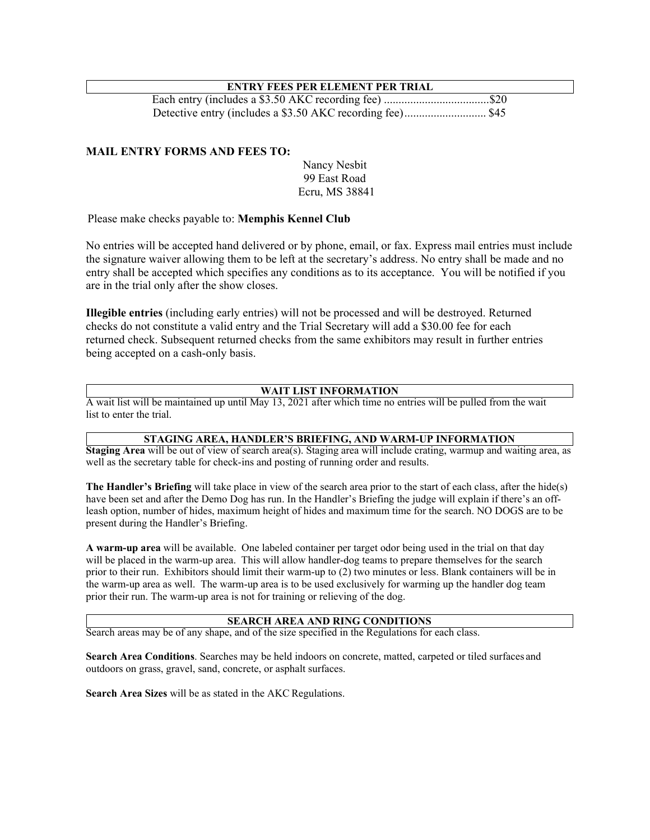## **ENTRY FEES PER ELEMENT PER TRIAL**

Each entry (includes a \$3.50 AKC recording fee) .................................... \$20 Detective entry (includes a \$3.50 AKC recording fee) ............................ \$45

## **MAIL ENTRY FORMS AND FEES TO:**

Nancy Nesbit 99 East Road Ecru, MS 38841

Please make checks payable to: **Memphis Kennel Club** 

No entries will be accepted hand delivered or by phone, email, or fax. Express mail entries must include the signature waiver allowing them to be left at the secretary's address. No entry shall be made and no entry shall be accepted which specifies any conditions as to its acceptance. You will be notified if you are in the trial only after the show closes.

**Illegible entries** (including early entries) will not be processed and will be destroyed. Returned checks do not constitute a valid entry and the Trial Secretary will add a \$30.00 fee for each returned check. Subsequent returned checks from the same exhibitors may result in further entries being accepted on a cash-only basis.

## **WAIT LIST INFORMATION**

A wait list will be maintained up until May 13, 2021 after which time no entries will be pulled from the wait list to enter the trial.

### **STAGING AREA, HANDLER'S BRIEFING, AND WARM-UP INFORMATION**

**Staging Area** will be out of view of search area(s). Staging area will include crating, warmup and waiting area, as well as the secretary table for check-ins and posting of running order and results.

**The Handler's Briefing** will take place in view of the search area prior to the start of each class, after the hide(s) have been set and after the Demo Dog has run. In the Handler's Briefing the judge will explain if there's an offleash option, number of hides, maximum height of hides and maximum time for the search. NO DOGS are to be present during the Handler's Briefing.

**A warm-up area** will be available. One labeled container per target odor being used in the trial on that day will be placed in the warm-up area. This will allow handler-dog teams to prepare themselves for the search prior to their run. Exhibitors should limit their warm-up to (2) two minutes or less. Blank containers will be in the warm-up area as well. The warm-up area is to be used exclusively for warming up the handler dog team prior their run. The warm-up area is not for training or relieving of the dog.

#### **SEARCH AREA AND RING CONDITIONS**

Search areas may be of any shape, and of the size specified in the Regulations for each class.

**Search Area Conditions**. Searches may be held indoors on concrete, matted, carpeted or tiled surfaces and outdoors on grass, gravel, sand, concrete, or asphalt surfaces.

**Search Area Sizes** will be as stated in the AKC Regulations.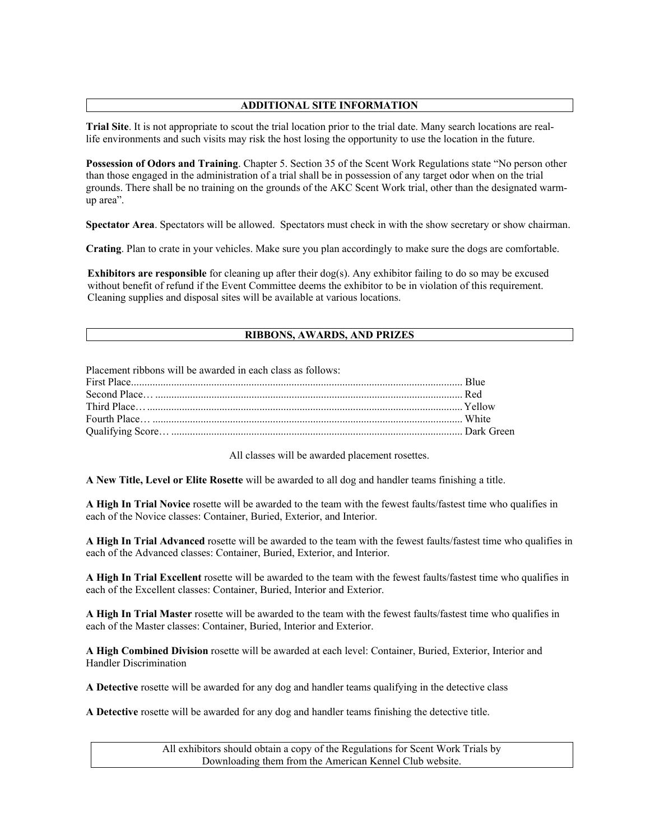## **ADDITIONAL SITE INFORMATION**

**Trial Site**. It is not appropriate to scout the trial location prior to the trial date. Many search locations are reallife environments and such visits may risk the host losing the opportunity to use the location in the future.

**Possession of Odors and Training**. Chapter 5. Section 35 of the Scent Work Regulations state "No person other than those engaged in the administration of a trial shall be in possession of any target odor when on the trial grounds. There shall be no training on the grounds of the AKC Scent Work trial, other than the designated warmup area".

**Spectator Area**. Spectators will be allowed. Spectators must check in with the show secretary or show chairman.

**Crating**. Plan to crate in your vehicles. Make sure you plan accordingly to make sure the dogs are comfortable.

**Exhibitors are responsible** for cleaning up after their dog(s). Any exhibitor failing to do so may be excused without benefit of refund if the Event Committee deems the exhibitor to be in violation of this requirement. Cleaning supplies and disposal sites will be available at various locations.

### **RIBBONS, AWARDS, AND PRIZES**

Placement ribbons will be awarded in each class as follows: First Place ............................................................................................................................ Blue Second Place… ................................................................................................................... Red Third Place… ...................................................................................................................... Yellow Fourth Place… .................................................................................................................... White Qualifying Score… ............................................................................................................. Dark Green

All classes will be awarded placement rosettes.

**A New Title, Level or Elite Rosette** will be awarded to all dog and handler teams finishing a title.

**A High In Trial Novice** rosette will be awarded to the team with the fewest faults/fastest time who qualifies in each of the Novice classes: Container, Buried, Exterior, and Interior.

**A High In Trial Advanced** rosette will be awarded to the team with the fewest faults/fastest time who qualifies in each of the Advanced classes: Container, Buried, Exterior, and Interior.

**A High In Trial Excellent** rosette will be awarded to the team with the fewest faults/fastest time who qualifies in each of the Excellent classes: Container, Buried, Interior and Exterior.

**A High In Trial Master** rosette will be awarded to the team with the fewest faults/fastest time who qualifies in each of the Master classes: Container, Buried, Interior and Exterior.

**A High Combined Division** rosette will be awarded at each level: Container, Buried, Exterior, Interior and Handler Discrimination

**A Detective** rosette will be awarded for any dog and handler teams qualifying in the detective class

**A Detective** rosette will be awarded for any dog and handler teams finishing the detective title.

All exhibitors should obtain a copy of the Regulations for Scent Work Trials by Downloading them from the American Kennel Club website.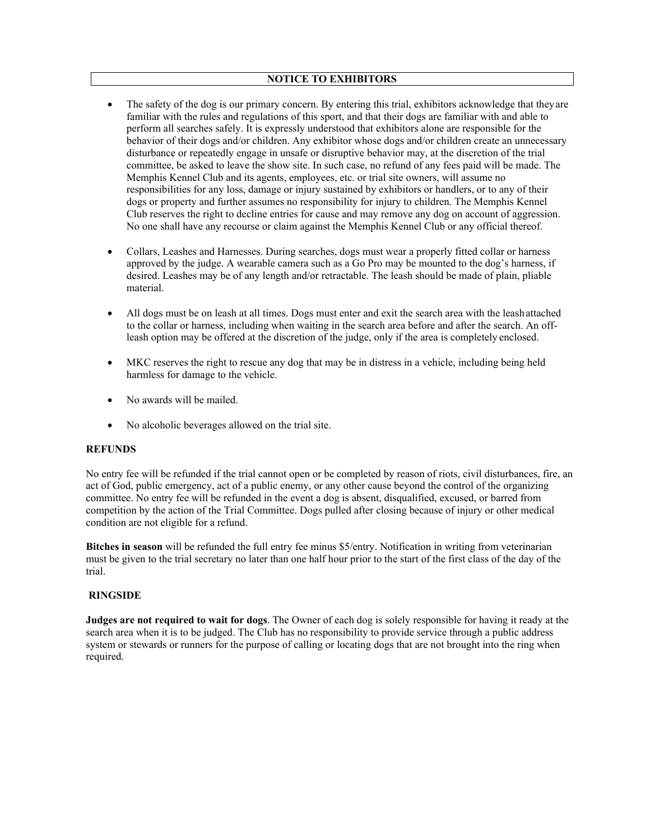#### **NOTICE TO EXHIBITORS**

- The safety of the dog is our primary concern. By entering this trial, exhibitors acknowledge that they are familiar with the rules and regulations of this sport, and that their dogs are familiar with and able to perform all searches safely. It is expressly understood that exhibitors alone are responsible for the behavior of their dogs and/or children. Any exhibitor whose dogs and/or children create an unnecessary disturbance or repeatedly engage in unsafe or disruptive behavior may, at the discretion of the trial committee, be asked to leave the show site. In such case, no refund of any fees paid will be made. The Memphis Kennel Club and its agents, employees, etc. or trial site owners, will assume no responsibilities for any loss, damage or injury sustained by exhibitors or handlers, or to any of their dogs or property and further assumes no responsibility for injury to children. The Memphis Kennel Club reserves the right to decline entries for cause and may remove any dog on account of aggression. No one shall have any recourse or claim against the Memphis Kennel Club or any official thereof.
- Collars, Leashes and Harnesses. During searches, dogs must wear a properly fitted collar or harness approved by the judge. A wearable camera such as a Go Pro may be mounted to the dog's harness, if desired. Leashes may be of any length and/or retractable. The leash should be made of plain, pliable material.
- All dogs must be on leash at all times. Dogs must enter and exit the search area with the leash attached to the collar or harness, including when waiting in the search area before and after the search. An offleash option may be offered at the discretion of the judge, only if the area is completely enclosed.
- MKC reserves the right to rescue any dog that may be in distress in a vehicle, including being held harmless for damage to the vehicle.
- No awards will be mailed.
- No alcoholic beverages allowed on the trial site.

#### **REFUNDS**

No entry fee will be refunded if the trial cannot open or be completed by reason of riots, civil disturbances, fire, an act of God, public emergency, act of a public enemy, or any other cause beyond the control of the organizing committee. No entry fee will be refunded in the event a dog is absent, disqualified, excused, or barred from competition by the action of the Trial Committee. Dogs pulled after closing because of injury or other medical condition are not eligible for a refund.

**Bitches in season** will be refunded the full entry fee minus \$5/entry. Notification in writing from veterinarian must be given to the trial secretary no later than one half hour prior to the start of the first class of the day of the trial.

#### **RINGSIDE**

**Judges are not required to wait for dogs**. The Owner of each dog is solely responsible for having it ready at the search area when it is to be judged. The Club has no responsibility to provide service through a public address system or stewards or runners for the purpose of calling or locating dogs that are not brought into the ring when required.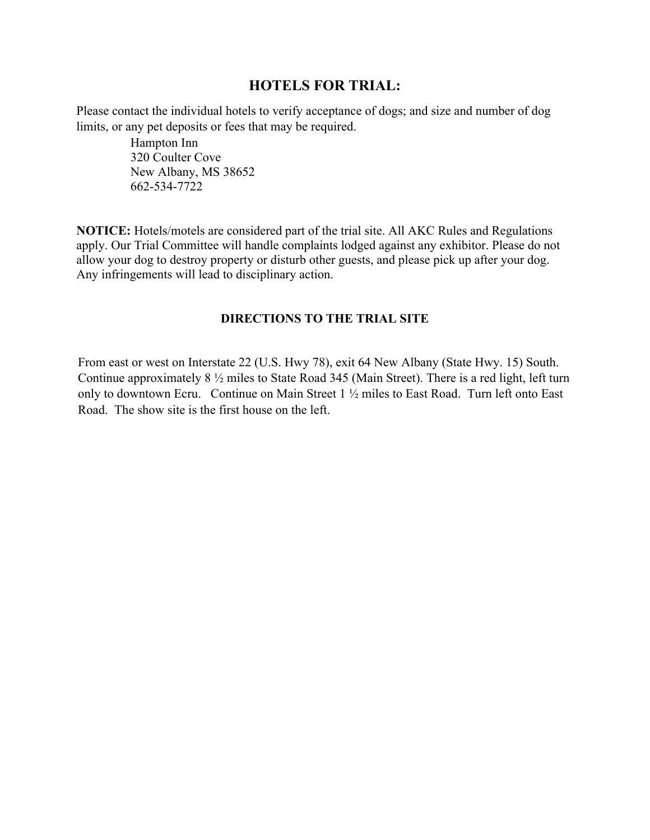# **HOTELS FOR TRIAL:**

Please contact the individual hotels to verify acceptance of dogs; and size and number of dog limits, or any pet deposits or fees that may be required.

> Hampton Inn 320 Coulter Cove New Albany, MS 38652 662-534-7722

**NOTICE:** Hotels/motels are considered part of the trial site. All AKC Rules and Regulations apply. Our Trial Committee will handle complaints lodged against any exhibitor. Please do not allow your dog to destroy property or disturb other guests, and please pick up after your dog. Any infringements will lead to disciplinary action.

# **DIRECTIONS TO THE TRIAL SITE**

 From east or west on Interstate 22 (U.S. Hwy 78), exit 64 New Albany (State Hwy. 15) South. Continue approximately 8 ½ miles to State Road 345 (Main Street). There is a red light, left turn only to downtown Ecru. Continue on Main Street 1 ½ miles to East Road. Turn left onto East Road. The show site is the first house on the left.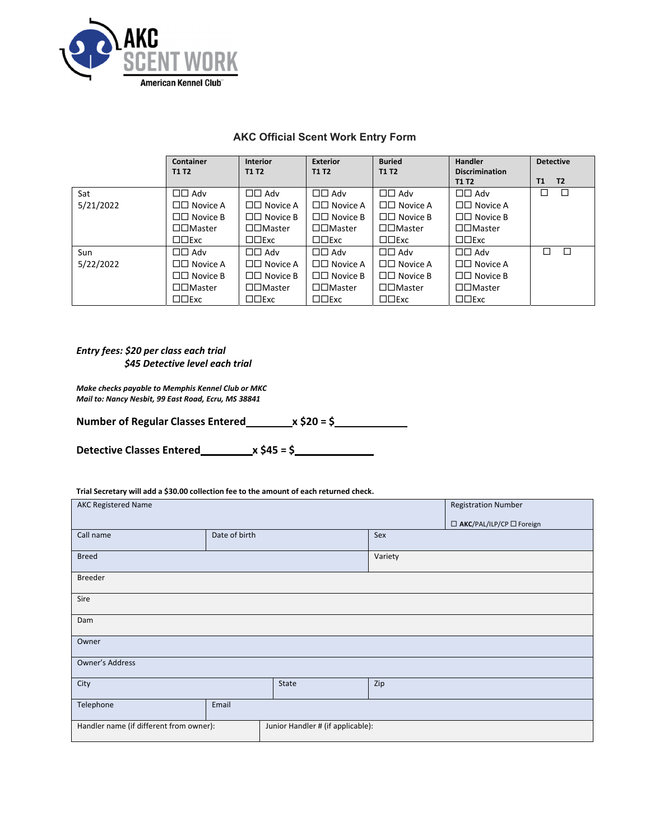

# **AKC Official Scent Work Entry Form**

|           | <b>Container</b>         | <b>Interior</b>            | <b>Exterior</b>            | <b>Buried</b>            | <b>Handler</b>        | <b>Detective</b>     |
|-----------|--------------------------|----------------------------|----------------------------|--------------------------|-----------------------|----------------------|
|           | <b>T1 T2</b>             | <b>T1 T2</b>               | <b>T1 T2</b>               | <b>T1 T2</b>             | <b>Discrimination</b> |                      |
|           |                          |                            |                            |                          | <b>T1 T2</b>          | T <sub>2</sub><br>T1 |
| Sat       | $\Box$ $\Box$ Adv        | $\Box$ $\Box$ Adv          | $\square \square$ Adv      | $\Box$ $\Box$ Adv        | $\Box\Box$ Adv        | □<br>Е               |
| 5/21/2022 | $\Box$ Novice A          | $\Box$ Novice A            | $\square \square$ Novice A | $\Box$ Novice A          | $\Box$ Novice A       |                      |
|           | $\Box \Box$ Novice B     | $\Box$ Novice B            | $\Box$ Novice B            | $\Box$ Novice B          | $\Box$ Novice B       |                      |
|           | $\square \square$ Master | $\square \square$ Master   | $\square \square$ Master   | $\square \square$ Master | □□Master              |                      |
|           | $\square \square$ Exc    | $\square \square$ Exc      | $\square \square$ Exc      | $\square \square$ Exc    | $\Box$ Exc            |                      |
| Sun       | $\Box$ $\Box$ Adv        | $\Box$ $\Box$ Adv          | $\Box$ $\Box$ Adv          | $\Box$ $\Box$ Adv        | $\Box$ Adv            | П<br>п               |
| 5/22/2022 | $\Box$ Novice A          | $\square \square$ Novice A | $\Box$ Novice A            | $\Box$ Novice A          | $\Box \Box$ Novice A  |                      |
|           | $\Box$ Novice B          | $\Box$ Novice B            | $\Box$ Novice B            | $\Box$ Novice B          | $\Box \Box$ Novice B  |                      |
|           | $\square \square$ Master | $\square \square$ Master   | $\square \square$ Master   | $\square \square$ Master | □□Master              |                      |
|           | $\square \square$ Exc    | $\square \square$ Exc      | $\square \square$ Exc      | $\square \square$ Exc    | $\square \square$ Exc |                      |

## *Entry fees: \$20 per class each trial \$45 Detective level each trial*

*Make checks payable to Memphis Kennel Club or MKC Mail to: Nancy Nesbit, 99 East Road, Ecru, MS 38841*

| <b>Number of Regular Classes Entered_</b> | _x \$20 = \$ |
|-------------------------------------------|--------------|
|-------------------------------------------|--------------|

**Detective Classes Entered x \$45 = \$** 

## **Trial Secretary will add a \$30.00 collection fee to the amount of each returned check.**

| <b>AKC Registered Name</b>                                                   |               |         |     | <b>Registration Number</b> |
|------------------------------------------------------------------------------|---------------|---------|-----|----------------------------|
|                                                                              |               |         |     | □ AKC/PAL/ILP/CP □ Foreign |
| Call name                                                                    | Date of birth |         | Sex |                            |
| <b>Breed</b>                                                                 |               | Variety |     |                            |
| Breeder                                                                      |               |         |     |                            |
| Sire                                                                         |               |         |     |                            |
| Dam                                                                          |               |         |     |                            |
| Owner                                                                        |               |         |     |                            |
| Owner's Address                                                              |               |         |     |                            |
| City                                                                         |               | State   | Zip |                            |
| Telephone                                                                    | Email         |         |     |                            |
| Handler name (if different from owner):<br>Junior Handler # (if applicable): |               |         |     |                            |